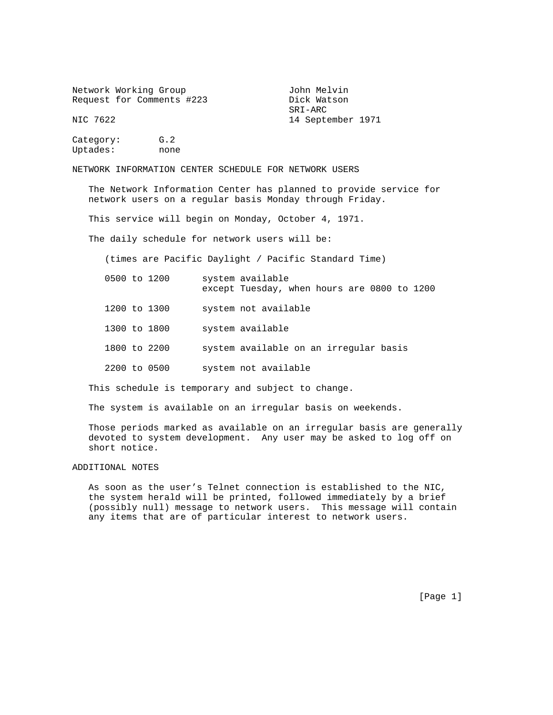Network Working Group and Tohn Melvin Request for Comments #223 Dick Watson

 SRI-ARC 14 September 1971

Category: G.2 Uptades: none

NETWORK INFORMATION CENTER SCHEDULE FOR NETWORK USERS

 The Network Information Center has planned to provide service for network users on a regular basis Monday through Friday.

This service will begin on Monday, October 4, 1971.

The daily schedule for network users will be:

(times are Pacific Daylight / Pacific Standard Time)

- 0500 to 1200 system available except Tuesday, when hours are 0800 to 1200
- 1200 to 1300 system not available
- 1300 to 1800 system available
- 1800 to 2200 system available on an irregular basis
- 2200 to 0500 system not available

This schedule is temporary and subject to change.

The system is available on an irregular basis on weekends.

 Those periods marked as available on an irregular basis are generally devoted to system development. Any user may be asked to log off on short notice.

ADDITIONAL NOTES

 As soon as the user's Telnet connection is established to the NIC, the system herald will be printed, followed immediately by a brief (possibly null) message to network users. This message will contain any items that are of particular interest to network users.

[Page 1]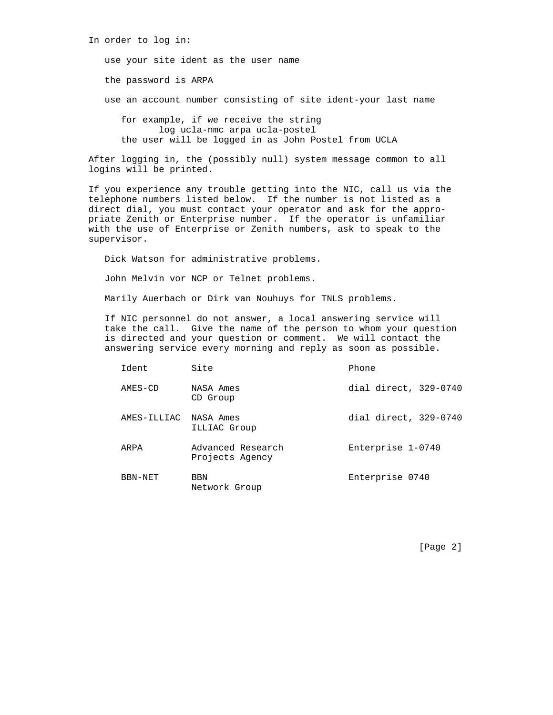After logging in, the (possibly null) system message common to all logins will be printed.

the user will be logged in as John Postel from UCLA

 If you experience any trouble getting into the NIC, call us via the telephone numbers listed below. If the number is not listed as a direct dial, you must contact your operator and ask for the appro priate Zenith or Enterprise number. If the operator is unfamiliar with the use of Enterprise or Zenith numbers, ask to speak to the supervisor.

Dick Watson for administrative problems.

John Melvin vor NCP or Telnet problems.

Marily Auerbach or Dirk van Nouhuys for TNLS problems.

 If NIC personnel do not answer, a local answering service will take the call. Give the name of the person to whom your question is directed and your question or comment. We will contact the answering service every morning and reply as soon as possible.

| Ident                 | Site                                 | Phone                 |
|-----------------------|--------------------------------------|-----------------------|
| AMES-CD               | NASA Ames<br>CD Group                | dial direct, 329-0740 |
| AMES-ILLIAC NASA Ames | ILLIAC Group                         | dial direct, 329-0740 |
| ARPA                  | Advanced Research<br>Projects Agency | Enterprise 1-0740     |
| BBN-NET               | <b>BBN</b><br>Network Group          | Enterprise 0740       |

[Page 2]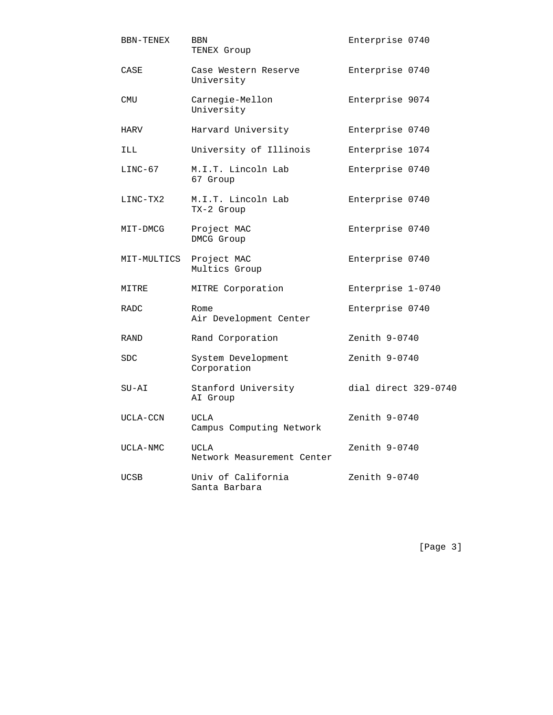| <b>BBN-TENEX</b> | BBN<br>TENEX Group                        | Enterprise 0740      |
|------------------|-------------------------------------------|----------------------|
| CASE             | Case Western Reserve<br>University        | Enterprise 0740      |
| CMU              | Carnegie-Mellon<br>University             | Enterprise 9074      |
| HARV             | Harvard University                        | Enterprise 0740      |
| <b>ILL</b>       | University of Illinois                    | Enterprise 1074      |
| $LINC-67$        | M.I.T. Lincoln Lab<br>67 Group            | Enterprise 0740      |
| LINC-TX2         | M.I.T. Lincoln Lab<br>TX-2 Group          | Enterprise 0740      |
| MIT-DMCG         | Project MAC<br>DMCG Group                 | Enterprise 0740      |
| MIT-MULTICS      | Project MAC<br>Multics Group              | Enterprise 0740      |
| MITRE            | MITRE Corporation                         | Enterprise 1-0740    |
| <b>RADC</b>      | Rome<br>Air Development Center            | Enterprise 0740      |
| RAND             | Rand Corporation                          | Zenith 9-0740        |
| SDC.             | System Development<br>Corporation         | Zenith $9-0740$      |
| SU-AI            | Stanford University<br>AI Group           | dial direct 329-0740 |
| UCLA-CCN         | UCLA<br>Campus Computing Network          | Zenith 9-0740        |
| UCLA-NMC         | <b>UCLA</b><br>Network Measurement Center | Zenith 9-0740        |
| UCSB             | Univ of California<br>Santa Barbara       | Zenith 9-0740        |

[Page 3]